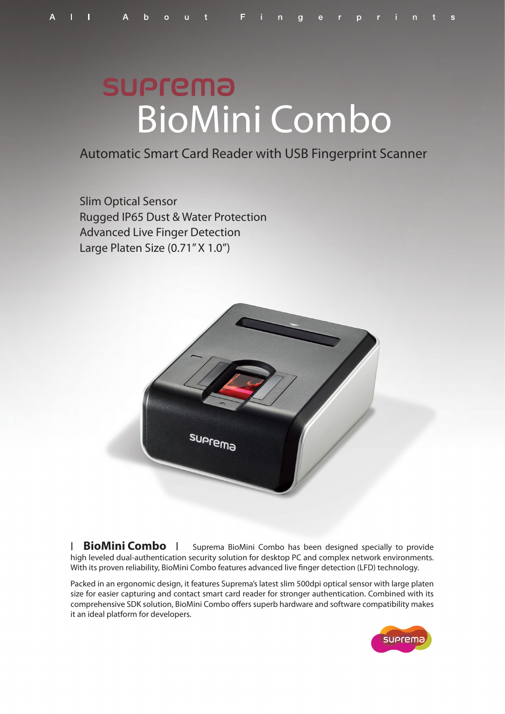# **SUPrema** BioMini Combo

### Automatic Smart Card Reader with USB Fingerprint Scanner

Slim Optical Sensor Rugged IP65 Dust & Water Protection Advanced Live Finger Detection Large Platen Size (0.71" X 1.0")



**BioMini Combo** | Suprema BioMini Combo has been designed specially to provide high leveled dual-authentication security solution for desktop PC and complex network environments. With its proven reliability, BioMini Combo features advanced live finger detection (LFD) technology. **BioMini Combo**

Packed in an ergonomic design, it features Suprema's latest slim 500dpi optical sensor with large platen size for easier capturing and contact smart card reader for stronger authentication. Combined with its comprehensive SDK solution, BioMini Combo offers superb hardware and software compatibility makes it an ideal platform for developers.